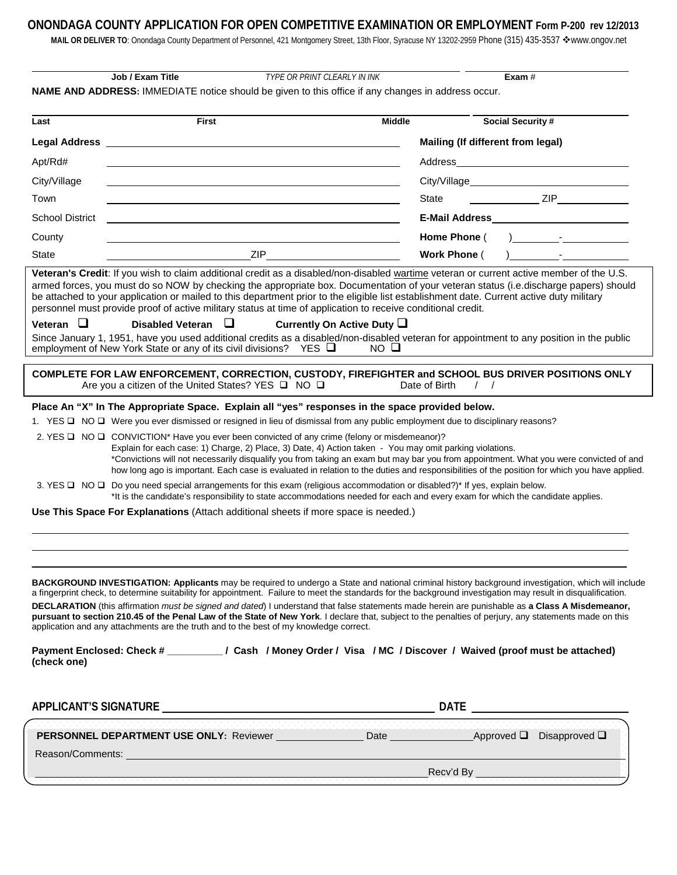## ONONDAGA COUNTY APPLICATION FOR OPEN COMPETITIVE EXAMINATION OR EMPLOYMENT Form P-200 rev 12/2013

MAIL OR DELIVER TO: Onondaga County Department of Personnel, 421 Montgomery Street, 13th Floor, Syracuse NY 13202-2959 Phone (315) 435-3537 �www.ongov.net

| NAME AND ADDRESS: IMMEDIATE notice should be given to this office if any changes in address occur.<br><b>First</b><br><b>Middle</b><br>Last<br>Apt/Rd#<br>City/Village<br>Town<br><b>School District</b><br>the control of the control of the control of the control of the control of the control of the control of the control of the control of the control of the control of the control of the control of the control of the control<br>County<br>ZIP<br>State<br>Veteran's Credit: If you wish to claim additional credit as a disabled/non-disabled wartime veteran or current active member of the U.S.<br>armed forces, you must do so NOW by checking the appropriate box. Documentation of your veteran status (i.e.discharge papers) should | Mailing (If different from legal)<br>State<br>Home Phone (<br>Work Phone ( | <b>Social Security #</b><br>$ZIP$ $\qquad \qquad$ $ZIP$ $\qquad \qquad$ $\qquad \qquad$ $\qquad \qquad$ $\qquad$ $\qquad \qquad$ $\qquad$ $\qquad$ $\qquad$ $\qquad$ $\qquad$ $\qquad$ $\qquad$ $\qquad$ $\qquad$ $\qquad$ $\qquad$ $\qquad$ $\qquad$ $\qquad$ $\qquad$ $\qquad$ $\qquad$ $\qquad$ $\qquad$ $\qquad$ $\qquad$ $\qquad$ $\qquad$ $\qquad$ $\qquad$ $\qquad$ $\qquad$<br>) $\qquad$ - |
|---------------------------------------------------------------------------------------------------------------------------------------------------------------------------------------------------------------------------------------------------------------------------------------------------------------------------------------------------------------------------------------------------------------------------------------------------------------------------------------------------------------------------------------------------------------------------------------------------------------------------------------------------------------------------------------------------------------------------------------------------------|----------------------------------------------------------------------------|-----------------------------------------------------------------------------------------------------------------------------------------------------------------------------------------------------------------------------------------------------------------------------------------------------------------------------------------------------------------------------------------------------|
|                                                                                                                                                                                                                                                                                                                                                                                                                                                                                                                                                                                                                                                                                                                                                         |                                                                            |                                                                                                                                                                                                                                                                                                                                                                                                     |
|                                                                                                                                                                                                                                                                                                                                                                                                                                                                                                                                                                                                                                                                                                                                                         |                                                                            |                                                                                                                                                                                                                                                                                                                                                                                                     |
|                                                                                                                                                                                                                                                                                                                                                                                                                                                                                                                                                                                                                                                                                                                                                         |                                                                            |                                                                                                                                                                                                                                                                                                                                                                                                     |
|                                                                                                                                                                                                                                                                                                                                                                                                                                                                                                                                                                                                                                                                                                                                                         |                                                                            |                                                                                                                                                                                                                                                                                                                                                                                                     |
|                                                                                                                                                                                                                                                                                                                                                                                                                                                                                                                                                                                                                                                                                                                                                         |                                                                            |                                                                                                                                                                                                                                                                                                                                                                                                     |
|                                                                                                                                                                                                                                                                                                                                                                                                                                                                                                                                                                                                                                                                                                                                                         |                                                                            |                                                                                                                                                                                                                                                                                                                                                                                                     |
|                                                                                                                                                                                                                                                                                                                                                                                                                                                                                                                                                                                                                                                                                                                                                         |                                                                            |                                                                                                                                                                                                                                                                                                                                                                                                     |
|                                                                                                                                                                                                                                                                                                                                                                                                                                                                                                                                                                                                                                                                                                                                                         |                                                                            |                                                                                                                                                                                                                                                                                                                                                                                                     |
|                                                                                                                                                                                                                                                                                                                                                                                                                                                                                                                                                                                                                                                                                                                                                         |                                                                            |                                                                                                                                                                                                                                                                                                                                                                                                     |
| be attached to your application or mailed to this department prior to the eligible list establishment date. Current active duty military<br>personnel must provide proof of active military status at time of application to receive conditional credit.<br>Veteran $\Box$<br>Disabled Veteran $\Box$<br>Currently On Active Duty $\square$<br>Since January 1, 1951, have you used additional credits as a disabled/non-disabled veteran for appointment to any position in the public<br>employment of New York State or any of its civil divisions? YES $\Box$<br>$NO$ $\Box$                                                                                                                                                                        |                                                                            |                                                                                                                                                                                                                                                                                                                                                                                                     |
| COMPLETE FOR LAW ENFORCEMENT, CORRECTION, CUSTODY, FIREFIGHTER and SCHOOL BUS DRIVER POSITIONS ONLY<br>Are you a citizen of the United States? YES □ NO □                                                                                                                                                                                                                                                                                                                                                                                                                                                                                                                                                                                               | Date of Birth<br>$\frac{1}{2}$                                             |                                                                                                                                                                                                                                                                                                                                                                                                     |
| Place An "X" In The Appropriate Space. Explain all "yes" responses in the space provided below.                                                                                                                                                                                                                                                                                                                                                                                                                                                                                                                                                                                                                                                         |                                                                            |                                                                                                                                                                                                                                                                                                                                                                                                     |
| 1. YES □ NO □ Were you ever dismissed or resigned in lieu of dismissal from any public employment due to disciplinary reasons?                                                                                                                                                                                                                                                                                                                                                                                                                                                                                                                                                                                                                          |                                                                            |                                                                                                                                                                                                                                                                                                                                                                                                     |
| 2. YES $\Box$ NO $\Box$ CONVICTION* Have you ever been convicted of any crime (felony or misdemeanor)?<br>Explain for each case: 1) Charge, 2) Place, 3) Date, 4) Action taken - You may omit parking violations.<br>*Convictions will not necessarily disqualify you from taking an exam but may bar you from appointment. What you were convicted of and<br>how long ago is important. Each case is evaluated in relation to the duties and responsibilities of the position for which you have applied.                                                                                                                                                                                                                                              |                                                                            |                                                                                                                                                                                                                                                                                                                                                                                                     |
| 3. YES $\Box$ NO $\Box$ Do you need special arrangements for this exam (religious accommodation or disabled?)* If yes, explain below.<br>*It is the candidate's responsibility to state accommodations needed for each and every exam for which the candidate applies.                                                                                                                                                                                                                                                                                                                                                                                                                                                                                  |                                                                            |                                                                                                                                                                                                                                                                                                                                                                                                     |
| Use This Space For Explanations (Attach additional sheets if more space is needed.)                                                                                                                                                                                                                                                                                                                                                                                                                                                                                                                                                                                                                                                                     |                                                                            |                                                                                                                                                                                                                                                                                                                                                                                                     |
| BACKGROUND INVESTIGATION: Applicants may be required to undergo a State and national criminal history background investigation, which will include<br>a fingerprint check, to determine suitability for appointment. Failure to meet the standards for the background investigation may result in disqualification.<br>DECLARATION (this affirmation <i>must be signed and dated</i> ) I understand that false statements made herein are punishable as a Class A Misdemeanor,<br>pursuant to section 210.45 of the Penal Law of the State of New York. I declare that, subject to the penalties of perjury, any statements made on this<br>application and any attachments are the truth and to the best of my knowledge correct.                      |                                                                            |                                                                                                                                                                                                                                                                                                                                                                                                     |
| Payment Enclosed: Check # ________/ Cash / Money Order / Visa / MC / Discover / Waived (proof must be attached)<br>(check one)                                                                                                                                                                                                                                                                                                                                                                                                                                                                                                                                                                                                                          |                                                                            |                                                                                                                                                                                                                                                                                                                                                                                                     |
|                                                                                                                                                                                                                                                                                                                                                                                                                                                                                                                                                                                                                                                                                                                                                         |                                                                            |                                                                                                                                                                                                                                                                                                                                                                                                     |
| PERSONNEL DEPARTMENT USE ONLY: Reviewer ________________Date _____________________Approved Q Disapproved Q                                                                                                                                                                                                                                                                                                                                                                                                                                                                                                                                                                                                                                              |                                                                            |                                                                                                                                                                                                                                                                                                                                                                                                     |
|                                                                                                                                                                                                                                                                                                                                                                                                                                                                                                                                                                                                                                                                                                                                                         |                                                                            |                                                                                                                                                                                                                                                                                                                                                                                                     |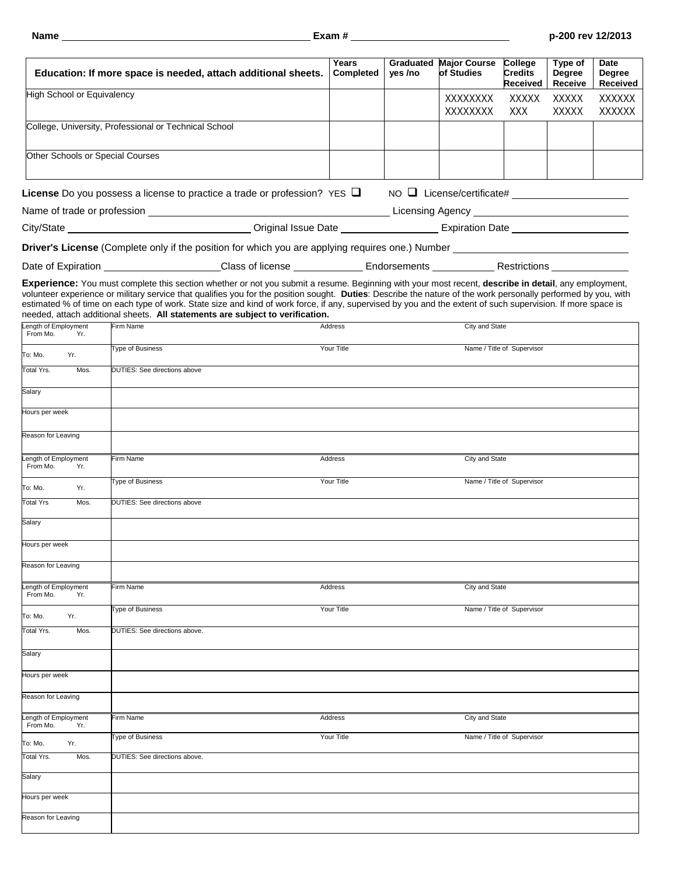|                                  |             | Education: If more space is needed, attach additional sheets.                                                                                                                                                                                                                                                                                                                                                                                                                                                                                                                      | Years<br>Completed | yes /no | <b>Graduated Major Course</b><br>of Studies | College<br><b>Credits</b><br><b>Received</b> | Type of<br>Degree<br>Receive | Date<br><b>Degree</b><br><b>Received</b> |  |
|----------------------------------|-------------|------------------------------------------------------------------------------------------------------------------------------------------------------------------------------------------------------------------------------------------------------------------------------------------------------------------------------------------------------------------------------------------------------------------------------------------------------------------------------------------------------------------------------------------------------------------------------------|--------------------|---------|---------------------------------------------|----------------------------------------------|------------------------------|------------------------------------------|--|
| High School or Equivalency       |             | XXXXXXXX<br>XXXXX<br>XXXXX<br>XXXXXXXX<br><b>XXX</b><br><b>XXXXX</b>                                                                                                                                                                                                                                                                                                                                                                                                                                                                                                               |                    |         |                                             |                                              |                              | XXXXXX<br><b>XXXXXX</b>                  |  |
|                                  |             | College, University, Professional or Technical School                                                                                                                                                                                                                                                                                                                                                                                                                                                                                                                              |                    |         |                                             |                                              |                              |                                          |  |
|                                  |             | Other Schools or Special Courses                                                                                                                                                                                                                                                                                                                                                                                                                                                                                                                                                   |                    |         |                                             |                                              |                              |                                          |  |
|                                  |             | License Do you possess a license to practice a trade or profession? YES $\Box$                                                                                                                                                                                                                                                                                                                                                                                                                                                                                                     |                    |         | $NO$ License/certificate# $\_$              |                                              |                              |                                          |  |
|                                  |             |                                                                                                                                                                                                                                                                                                                                                                                                                                                                                                                                                                                    |                    |         |                                             |                                              |                              |                                          |  |
|                                  |             |                                                                                                                                                                                                                                                                                                                                                                                                                                                                                                                                                                                    |                    |         |                                             |                                              |                              |                                          |  |
|                                  |             |                                                                                                                                                                                                                                                                                                                                                                                                                                                                                                                                                                                    |                    |         |                                             |                                              |                              |                                          |  |
|                                  |             |                                                                                                                                                                                                                                                                                                                                                                                                                                                                                                                                                                                    |                    |         |                                             |                                              |                              |                                          |  |
| Length of Employment             |             | Experience: You must complete this section whether or not you submit a resume. Beginning with your most recent, describe in detail, any employment,<br>volunteer experience or military service that qualifies you for the position sought. Duties: Describe the nature of the work personally performed by you, with<br>estimated % of time on each type of work. State size and kind of work force, if any, supervised by you and the extent of such supervision. If more space is<br>needed, attach additional sheets. All statements are subject to verification.<br>Firm Name | Address            |         | City and State                              |                                              |                              |                                          |  |
| From Mo.                         | Yr.         | <b>Type of Business</b>                                                                                                                                                                                                                                                                                                                                                                                                                                                                                                                                                            | Your Title         |         |                                             | Name / Title of Supervisor                   |                              |                                          |  |
| To: Mo.<br>Total Yrs.            | Yr.<br>Mos. | DUTIES: See directions above                                                                                                                                                                                                                                                                                                                                                                                                                                                                                                                                                       |                    |         |                                             |                                              |                              |                                          |  |
|                                  |             |                                                                                                                                                                                                                                                                                                                                                                                                                                                                                                                                                                                    |                    |         |                                             |                                              |                              |                                          |  |
| Salary                           |             |                                                                                                                                                                                                                                                                                                                                                                                                                                                                                                                                                                                    |                    |         |                                             |                                              |                              |                                          |  |
| Hours per week                   |             |                                                                                                                                                                                                                                                                                                                                                                                                                                                                                                                                                                                    |                    |         |                                             |                                              |                              |                                          |  |
| Reason for Leaving               |             |                                                                                                                                                                                                                                                                                                                                                                                                                                                                                                                                                                                    |                    |         |                                             |                                              |                              |                                          |  |
| Length of Employment<br>From Mo. | Yr.         | Firm Name                                                                                                                                                                                                                                                                                                                                                                                                                                                                                                                                                                          | Address            |         | City and State                              |                                              |                              |                                          |  |
| To: Mo.                          | Yr.         | Type of Business                                                                                                                                                                                                                                                                                                                                                                                                                                                                                                                                                                   | Your Title         |         |                                             | Name / Title of Supervisor                   |                              |                                          |  |
| <b>Total Yrs</b>                 | Mos.        | DUTIES: See directions above                                                                                                                                                                                                                                                                                                                                                                                                                                                                                                                                                       |                    |         |                                             |                                              |                              |                                          |  |
| Salary                           |             |                                                                                                                                                                                                                                                                                                                                                                                                                                                                                                                                                                                    |                    |         |                                             |                                              |                              |                                          |  |
| Hours per week                   |             |                                                                                                                                                                                                                                                                                                                                                                                                                                                                                                                                                                                    |                    |         |                                             |                                              |                              |                                          |  |
| Reason for Leaving               |             |                                                                                                                                                                                                                                                                                                                                                                                                                                                                                                                                                                                    |                    |         |                                             |                                              |                              |                                          |  |
| ength of Employment              |             | Firm Name                                                                                                                                                                                                                                                                                                                                                                                                                                                                                                                                                                          | Address            |         | City and State                              |                                              |                              |                                          |  |
| From Mo.                         | Yr.         | <b>Type of Business</b>                                                                                                                                                                                                                                                                                                                                                                                                                                                                                                                                                            | Your Title         |         |                                             | Name / Title of Supervisor                   |                              |                                          |  |
| Yr.<br>To: Mo.<br>Total Yrs.     | Mos.        | DUTIES: See directions above.                                                                                                                                                                                                                                                                                                                                                                                                                                                                                                                                                      |                    |         |                                             |                                              |                              |                                          |  |
|                                  |             |                                                                                                                                                                                                                                                                                                                                                                                                                                                                                                                                                                                    |                    |         |                                             |                                              |                              |                                          |  |
| Salary                           |             |                                                                                                                                                                                                                                                                                                                                                                                                                                                                                                                                                                                    |                    |         |                                             |                                              |                              |                                          |  |
| Hours per week                   |             |                                                                                                                                                                                                                                                                                                                                                                                                                                                                                                                                                                                    |                    |         |                                             |                                              |                              |                                          |  |
| Reason for Leaving               |             |                                                                                                                                                                                                                                                                                                                                                                                                                                                                                                                                                                                    |                    |         |                                             |                                              |                              |                                          |  |
| ength of Employment<br>From Mo.  | Yr.         | Firm Name                                                                                                                                                                                                                                                                                                                                                                                                                                                                                                                                                                          | Address            |         | City and State                              |                                              |                              |                                          |  |
| To: Mo.                          | Yr.         | Type of Business                                                                                                                                                                                                                                                                                                                                                                                                                                                                                                                                                                   | Your Title         |         |                                             | Name / Title of Supervisor                   |                              |                                          |  |
| Total Yrs.                       | Mos.        | DUTIES: See directions above.                                                                                                                                                                                                                                                                                                                                                                                                                                                                                                                                                      |                    |         |                                             |                                              |                              |                                          |  |
| Salary                           |             |                                                                                                                                                                                                                                                                                                                                                                                                                                                                                                                                                                                    |                    |         |                                             |                                              |                              |                                          |  |
| Hours per week                   |             |                                                                                                                                                                                                                                                                                                                                                                                                                                                                                                                                                                                    |                    |         |                                             |                                              |                              |                                          |  |
| Reason for Leaving               |             |                                                                                                                                                                                                                                                                                                                                                                                                                                                                                                                                                                                    |                    |         |                                             |                                              |                              |                                          |  |
|                                  |             |                                                                                                                                                                                                                                                                                                                                                                                                                                                                                                                                                                                    |                    |         |                                             |                                              |                              |                                          |  |